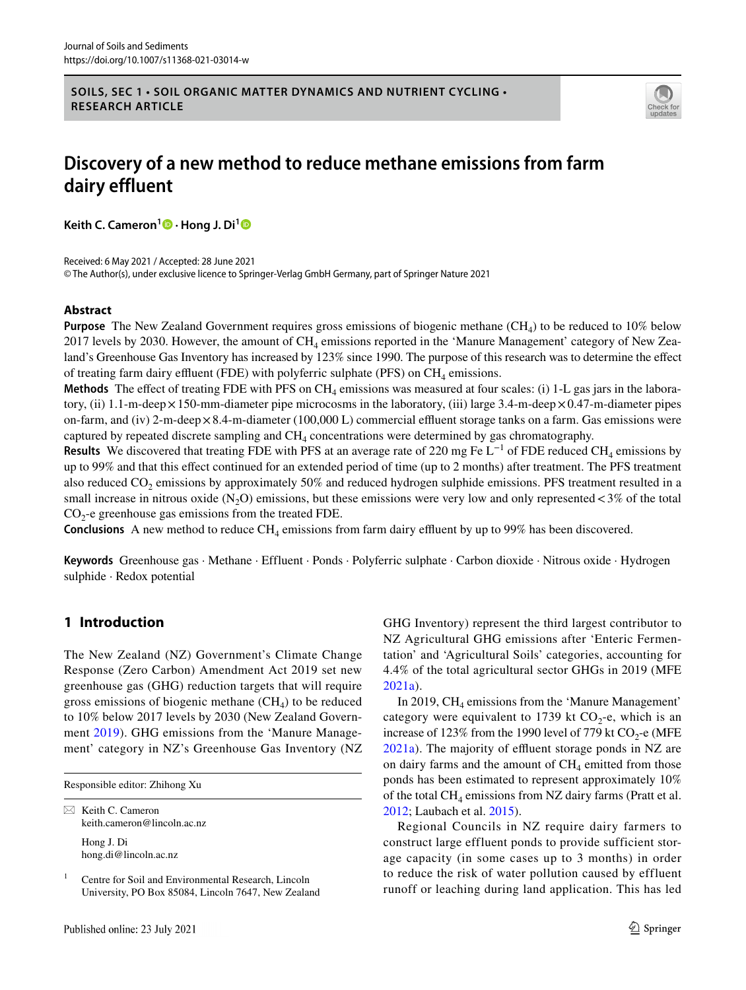**SOILS, SEC 1 • SOIL ORGANIC MATTER DYNAMICS AND NUTRIENT CYCLING • RESEARCH ARTICLE**



# **Discovery of a new method to reduce methane emissions from farm dairy effluent**

**Keith C. Cameron<sup>1</sup>  [·](http://orcid.org/0000-0002-7631-1636) Hong J. Di[1](http://orcid.org/0000-0002-6966-0299)**

Received: 6 May 2021 / Accepted: 28 June 2021 © The Author(s), under exclusive licence to Springer-Verlag GmbH Germany, part of Springer Nature 2021

# **Abstract**

**Purpose** The New Zealand Government requires gross emissions of biogenic methane (CH<sub>4</sub>) to be reduced to 10% below 2017 levels by 2030. However, the amount of  $CH_4$  emissions reported in the 'Manure Management' category of New Zealand's Greenhouse Gas Inventory has increased by 123% since 1990. The purpose of this research was to determine the efect of treating farm dairy effluent (FDE) with polyferric sulphate (PFS) on  $CH<sub>4</sub>$  emissions.

**Methods** The effect of treating FDE with PFS on CH<sub>4</sub> emissions was measured at four scales: (i) 1-L gas jars in the laboratory, (ii) 1.1-m-deep  $\times$  150-mm-diameter pipe microcosms in the laboratory, (iii) large 3.4-m-deep  $\times$  0.47-m-diameter pipes on-farm, and (iv) 2-m-deep $\times$ 8.4-m-diameter (100,000 L) commercial effluent storage tanks on a farm. Gas emissions were captured by repeated discrete sampling and CH4 concentrations were determined by gas chromatography.

**Results** We discovered that treating FDE with PFS at an average rate of 220 mg Fe  $L^{-1}$  of FDE reduced CH<sub>4</sub> emissions by up to 99% and that this efect continued for an extended period of time (up to 2 months) after treatment. The PFS treatment also reduced  $CO<sub>2</sub>$  emissions by approximately 50% and reduced hydrogen sulphide emissions. PFS treatment resulted in a small increase in nitrous oxide  $(N_2O)$  emissions, but these emissions were very low and only represented <3% of the total  $CO<sub>2</sub>$ -e greenhouse gas emissions from the treated FDE.

**Conclusions** A new method to reduce  $CH_4$  emissions from farm dairy effluent by up to 99% has been discovered.

**Keywords** Greenhouse gas · Methane · Effluent · Ponds · Polyferric sulphate · Carbon dioxide · Nitrous oxide · Hydrogen sulphide · Redox potential

# **1 Introduction**

The New Zealand (NZ) Government's Climate Change Response (Zero Carbon) Amendment Act 2019 set new greenhouse gas (GHG) reduction targets that will require gross emissions of biogenic methane  $(CH<sub>4</sub>)$  to be reduced to 10% below 2017 levels by 2030 (New Zealand Government [2019\)](#page-12-0). GHG emissions from the 'Manure Management' category in NZ's Greenhouse Gas Inventory (NZ

Responsible editor: Zhihong Xu

 $\boxtimes$  Keith C. Cameron keith.cameron@lincoln.ac.nz Hong J. Di

hong.di@lincoln.ac.nz

<sup>1</sup> Centre for Soil and Environmental Research, Lincoln University, PO Box 85084, Lincoln 7647, New Zealand GHG Inventory) represent the third largest contributor to NZ Agricultural GHG emissions after 'Enteric Fermentation' and 'Agricultural Soils' categories, accounting for 4.4% of the total agricultural sector GHGs in 2019 (MFE [2021a](#page-11-0)).

In 2019,  $CH<sub>4</sub>$  emissions from the 'Manure Management' category were equivalent to 1739 kt  $CO<sub>2</sub>$ -e, which is an increase of 123% from the 1990 level of 779 kt  $CO_2$ -e (MFE [2021a](#page-11-0)). The majority of effluent storage ponds in NZ are on dairy farms and the amount of  $CH<sub>4</sub>$  emitted from those ponds has been estimated to represent approximately 10% of the total  $CH_4$  emissions from NZ dairy farms (Pratt et al. [2012](#page-12-1); Laubach et al. [2015\)](#page-11-1).

Regional Councils in NZ require dairy farmers to construct large effluent ponds to provide sufficient storage capacity (in some cases up to 3 months) in order to reduce the risk of water pollution caused by effluent runoff or leaching during land application. This has led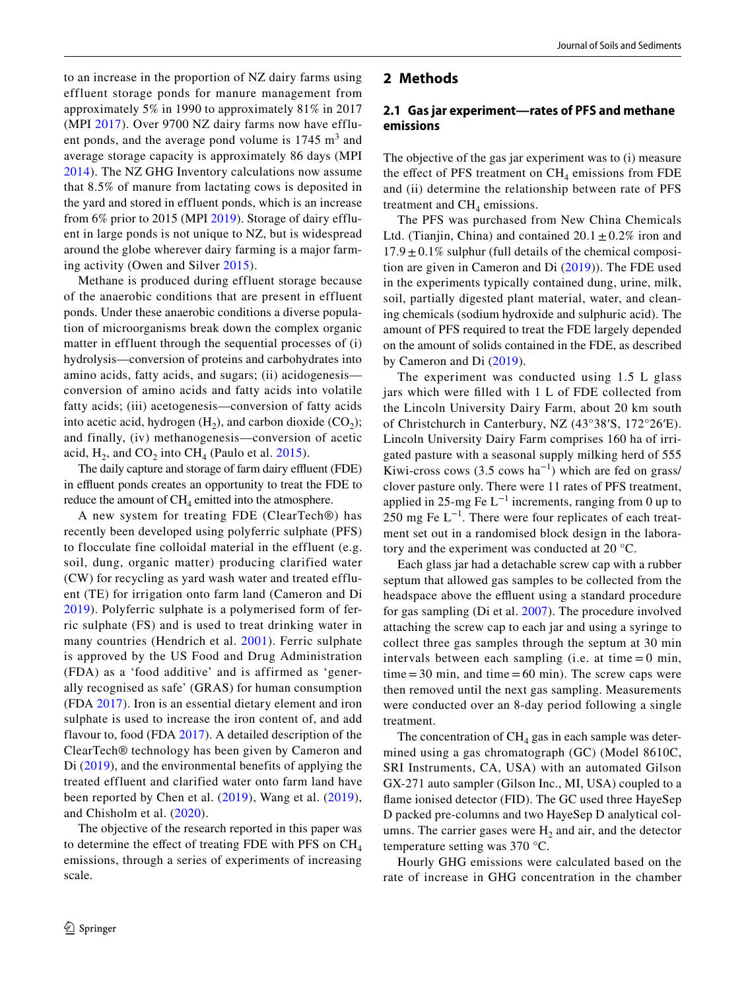to an increase in the proportion of NZ dairy farms using effluent storage ponds for manure management from approximately 5% in 1990 to approximately 81% in 2017 (MPI [2017](#page-12-2)). Over 9700 NZ dairy farms now have effluent ponds, and the average pond volume is  $1745 \text{ m}^3$  and average storage capacity is approximately 86 days (MPI [2014](#page-12-3)). The NZ GHG Inventory calculations now assume that 8.5% of manure from lactating cows is deposited in the yard and stored in effluent ponds, which is an increase from 6% prior to 2015 (MPI [2019\)](#page-12-4). Storage of dairy effluent in large ponds is not unique to NZ, but is widespread around the globe wherever dairy farming is a major farming activity (Owen and Silver [2015](#page-12-5)).

Methane is produced during effluent storage because of the anaerobic conditions that are present in effluent ponds. Under these anaerobic conditions a diverse population of microorganisms break down the complex organic matter in effluent through the sequential processes of (i) hydrolysis—conversion of proteins and carbohydrates into amino acids, fatty acids, and sugars; (ii) acidogenesis conversion of amino acids and fatty acids into volatile fatty acids; (iii) acetogenesis—conversion of fatty acids into acetic acid, hydrogen  $(H<sub>2</sub>)$ , and carbon dioxide  $(CO<sub>2</sub>)$ ; and finally, (iv) methanogenesis—conversion of acetic acid,  $H_2$ , and  $CO_2$  into  $CH_4$  (Paulo et al. [2015\)](#page-12-6).

The daily capture and storage of farm dairy effluent (FDE) in effluent ponds creates an opportunity to treat the FDE to reduce the amount of  $CH<sub>4</sub>$  emitted into the atmosphere.

A new system for treating FDE (ClearTech®) has recently been developed using polyferric sulphate (PFS) to flocculate fine colloidal material in the effluent (e.g. soil, dung, organic matter) producing clarified water (CW) for recycling as yard wash water and treated effluent (TE) for irrigation onto farm land (Cameron and Di [2019](#page-11-2)). Polyferric sulphate is a polymerised form of ferric sulphate (FS) and is used to treat drinking water in many countries (Hendrich et al. [2001](#page-11-3)). Ferric sulphate is approved by the US Food and Drug Administration (FDA) as a 'food additive' and is affirmed as 'generally recognised as safe' (GRAS) for human consumption (FDA [2017](#page-11-4)). Iron is an essential dietary element and iron sulphate is used to increase the iron content of, and add flavour to, food (FDA [2017\)](#page-11-4). A detailed description of the ClearTech® technology has been given by Cameron and Di [\(2019\)](#page-11-2), and the environmental benefits of applying the treated effluent and clarified water onto farm land have been reported by Chen et al. [\(2019](#page-11-5)), Wang et al. ([2019](#page-12-7)), and Chisholm et al. ([2020\)](#page-11-6).

The objective of the research reported in this paper was to determine the effect of treating FDE with PFS on  $CH<sub>4</sub>$ emissions, through a series of experiments of increasing scale.

### **2 Methods**

### **2.1 Gas jar experiment—rates of PFS and methane emissions**

The objective of the gas jar experiment was to (i) measure the effect of PFS treatment on  $CH<sub>4</sub>$  emissions from FDE and (ii) determine the relationship between rate of PFS treatment and  $CH<sub>4</sub>$  emissions.

The PFS was purchased from New China Chemicals Ltd. (Tianjin, China) and contained  $20.1 \pm 0.2\%$  iron and  $17.9 \pm 0.1\%$  sulphur (full details of the chemical composition are given in Cameron and Di [\(2019](#page-11-2))). The FDE used in the experiments typically contained dung, urine, milk, soil, partially digested plant material, water, and cleaning chemicals (sodium hydroxide and sulphuric acid). The amount of PFS required to treat the FDE largely depended on the amount of solids contained in the FDE, as described by Cameron and Di [\(2019](#page-11-2)).

The experiment was conducted using 1.5 L glass jars which were flled with 1 L of FDE collected from the Lincoln University Dairy Farm, about 20 km south of Christchurch in Canterbury, NZ (43°38′S, 172°26′E). Lincoln University Dairy Farm comprises 160 ha of irrigated pasture with a seasonal supply milking herd of 555 Kiwi-cross cows (3.5 cows ha<sup>-1</sup>) which are fed on grass/ clover pasture only. There were 11 rates of PFS treatment, applied in 25-mg Fe  $L^{-1}$  increments, ranging from 0 up to 250 mg Fe  $L^{-1}$ . There were four replicates of each treatment set out in a randomised block design in the laboratory and the experiment was conducted at 20 °C.

Each glass jar had a detachable screw cap with a rubber septum that allowed gas samples to be collected from the headspace above the effluent using a standard procedure for gas sampling (Di et al. [2007](#page-11-7)). The procedure involved attaching the screw cap to each jar and using a syringe to collect three gas samples through the septum at 30 min intervals between each sampling (i.e. at time  $= 0$  min,  $time = 30$  min, and time  $= 60$  min). The screw caps were then removed until the next gas sampling. Measurements were conducted over an 8-day period following a single treatment.

The concentration of  $CH<sub>4</sub>$  gas in each sample was determined using a gas chromatograph (GC) (Model 8610C, SRI Instruments, CA, USA) with an automated Gilson GX-271 auto sampler (Gilson Inc., MI, USA) coupled to a fame ionised detector (FID). The GC used three HayeSep D packed pre-columns and two HayeSep D analytical columns. The carrier gases were  $H_2$  and air, and the detector temperature setting was 370 °C.

Hourly GHG emissions were calculated based on the rate of increase in GHG concentration in the chamber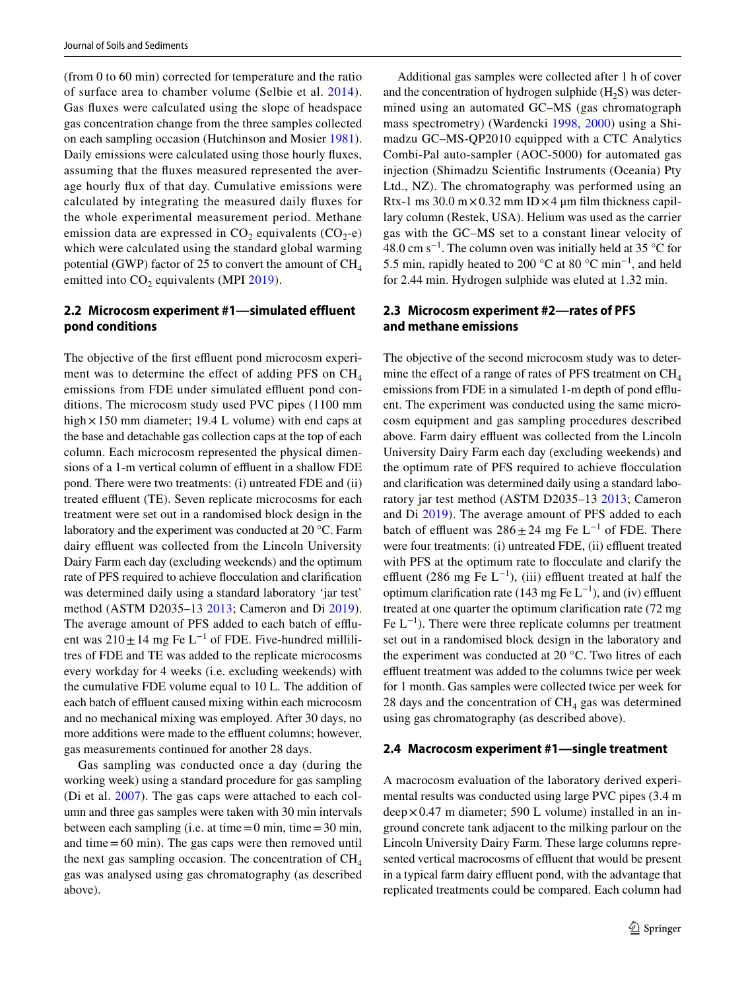(from 0 to 60 min) corrected for temperature and the ratio of surface area to chamber volume (Selbie et al. [2014](#page-12-8)). Gas fuxes were calculated using the slope of headspace gas concentration change from the three samples collected on each sampling occasion (Hutchinson and Mosier [1981](#page-11-8)). Daily emissions were calculated using those hourly fuxes, assuming that the fuxes measured represented the average hourly fux of that day. Cumulative emissions were calculated by integrating the measured daily fuxes for the whole experimental measurement period. Methane emission data are expressed in  $CO<sub>2</sub>$  equivalents  $(CO<sub>2</sub>-e)$ which were calculated using the standard global warming potential (GWP) factor of 25 to convert the amount of  $CH<sub>4</sub>$ emitted into  $CO<sub>2</sub>$  equivalents (MPI [2019](#page-12-4)).

# **2.2 Microcosm experiment #1—simulated effluent pond conditions**

The objective of the first effluent pond microcosm experiment was to determine the effect of adding PFS on  $CH<sub>4</sub>$ emissions from FDE under simulated effluent pond conditions. The microcosm study used PVC pipes (1100 mm high  $\times$  150 mm diameter; 19.4 L volume) with end caps at the base and detachable gas collection caps at the top of each column. Each microcosm represented the physical dimensions of a 1-m vertical column of effluent in a shallow FDE pond. There were two treatments: (i) untreated FDE and (ii) treated effluent (TE). Seven replicate microcosms for each treatment were set out in a randomised block design in the laboratory and the experiment was conducted at 20 °C. Farm dairy effluent was collected from the Lincoln University Dairy Farm each day (excluding weekends) and the optimum rate of PFS required to achieve focculation and clarifcation was determined daily using a standard laboratory 'jar test' method (ASTM D2035–13 [2013;](#page-11-9) Cameron and Di [2019](#page-11-2)). The average amount of PFS added to each batch of effluent was  $210 \pm 14$  mg Fe L<sup>-1</sup> of FDE. Five-hundred millilitres of FDE and TE was added to the replicate microcosms every workday for 4 weeks (i.e. excluding weekends) with the cumulative FDE volume equal to 10 L. The addition of each batch of effluent caused mixing within each microcosm and no mechanical mixing was employed. After 30 days, no more additions were made to the effluent columns; however, gas measurements continued for another 28 days.

Gas sampling was conducted once a day (during the working week) using a standard procedure for gas sampling (Di et al. [2007\)](#page-11-7). The gas caps were attached to each column and three gas samples were taken with 30 min intervals between each sampling (i.e. at time  $=0$  min, time  $=30$  min, and time  $=60$  min). The gas caps were then removed until the next gas sampling occasion. The concentration of  $CH<sub>4</sub>$ gas was analysed using gas chromatography (as described above).

Additional gas samples were collected after 1 h of cover and the concentration of hydrogen sulphide  $(H<sub>2</sub>S)$  was determined using an automated GC–MS (gas chromatograph mass spectrometry) (Wardencki [1998,](#page-12-9) [2000\)](#page-12-10) using a Shimadzu GC–MS-QP2010 equipped with a CTC Analytics Combi-Pal auto-sampler (AOC-5000) for automated gas injection (Shimadzu Scientifc Instruments (Oceania) Pty Ltd., NZ). The chromatography was performed using an Rtx-1 ms 30.0 m $\times$ 0.32 mm ID $\times$ 4 µm film thickness capillary column (Restek, USA). Helium was used as the carrier gas with the GC–MS set to a constant linear velocity of 48.0 cm s<sup>-1</sup>. The column oven was initially held at 35 °C for 5.5 min, rapidly heated to 200 °C at 80 °C min−1, and held for 2.44 min. Hydrogen sulphide was eluted at 1.32 min.

## **2.3 Microcosm experiment #2—rates of PFS and methane emissions**

The objective of the second microcosm study was to determine the effect of a range of rates of PFS treatment on  $CH<sub>4</sub>$ emissions from FDE in a simulated 1-m depth of pond effluent. The experiment was conducted using the same microcosm equipment and gas sampling procedures described above. Farm dairy effluent was collected from the Lincoln University Dairy Farm each day (excluding weekends) and the optimum rate of PFS required to achieve focculation and clarifcation was determined daily using a standard laboratory jar test method (ASTM D2035–13 [2013;](#page-11-9) Cameron and Di [2019](#page-11-2)). The average amount of PFS added to each batch of effluent was  $286 \pm 24$  mg Fe L<sup>-1</sup> of FDE. There were four treatments: (i) untreated FDE, (ii) effluent treated with PFS at the optimum rate to focculate and clarify the effluent (286 mg Fe  $L^{-1}$ ), (iii) effluent treated at half the optimum clarification rate (143 mg Fe  $L^{-1}$ ), and (iv) effluent treated at one quarter the optimum clarifcation rate (72 mg Fe  $L^{-1}$ ). There were three replicate columns per treatment set out in a randomised block design in the laboratory and the experiment was conducted at 20 °C. Two litres of each effluent treatment was added to the columns twice per week for 1 month. Gas samples were collected twice per week for 28 days and the concentration of  $CH<sub>4</sub>$  gas was determined using gas chromatography (as described above).

### **2.4 Macrocosm experiment #1—single treatment**

A macrocosm evaluation of the laboratory derived experimental results was conducted using large PVC pipes (3.4 m  $deep \times 0.47$  m diameter; 590 L volume) installed in an inground concrete tank adjacent to the milking parlour on the Lincoln University Dairy Farm. These large columns represented vertical macrocosms of effluent that would be present in a typical farm dairy effluent pond, with the advantage that replicated treatments could be compared. Each column had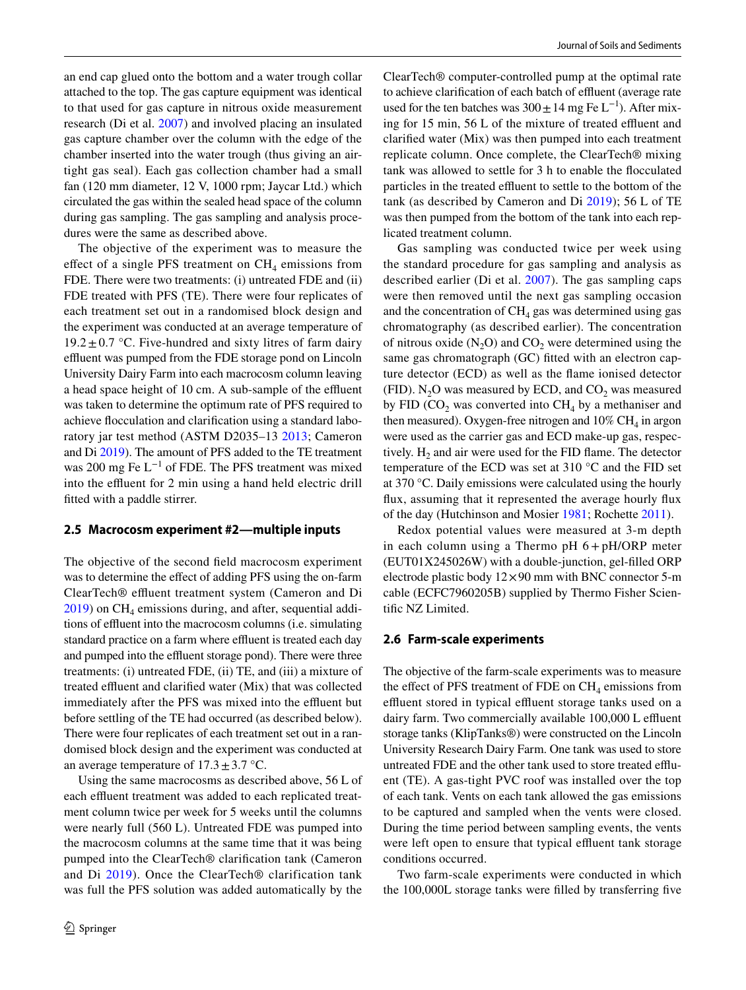an end cap glued onto the bottom and a water trough collar attached to the top. The gas capture equipment was identical to that used for gas capture in nitrous oxide measurement research (Di et al. [2007\)](#page-11-7) and involved placing an insulated gas capture chamber over the column with the edge of the chamber inserted into the water trough (thus giving an airtight gas seal). Each gas collection chamber had a small fan (120 mm diameter, 12 V, 1000 rpm; Jaycar Ltd.) which circulated the gas within the sealed head space of the column during gas sampling. The gas sampling and analysis procedures were the same as described above.

The objective of the experiment was to measure the effect of a single PFS treatment on  $CH<sub>4</sub>$  emissions from FDE. There were two treatments: (i) untreated FDE and (ii) FDE treated with PFS (TE). There were four replicates of each treatment set out in a randomised block design and the experiment was conducted at an average temperature of  $19.2 \pm 0.7$  °C. Five-hundred and sixty litres of farm dairy effluent was pumped from the FDE storage pond on Lincoln University Dairy Farm into each macrocosm column leaving a head space height of 10 cm. A sub-sample of the effluent was taken to determine the optimum rate of PFS required to achieve focculation and clarifcation using a standard laboratory jar test method (ASTM D2035–13 [2013;](#page-11-9) Cameron and Di [2019\)](#page-11-2). The amount of PFS added to the TE treatment was 200 mg Fe L−1 of FDE. The PFS treatment was mixed into the effluent for 2 min using a hand held electric drill ftted with a paddle stirrer.

### **2.5 Macrocosm experiment #2—multiple inputs**

The objective of the second feld macrocosm experiment was to determine the effect of adding PFS using the on-farm ClearTech® effluent treatment system (Cameron and Di  $2019$ ) on CH<sub>4</sub> emissions during, and after, sequential additions of effluent into the macrocosm columns (i.e. simulating standard practice on a farm where effluent is treated each day and pumped into the effluent storage pond). There were three treatments: (i) untreated FDE, (ii) TE, and (iii) a mixture of treated effluent and clarified water (Mix) that was collected immediately after the PFS was mixed into the effluent but before settling of the TE had occurred (as described below). There were four replicates of each treatment set out in a randomised block design and the experiment was conducted at an average temperature of  $17.3 \pm 3.7$  °C.

Using the same macrocosms as described above, 56 L of each effluent treatment was added to each replicated treatment column twice per week for 5 weeks until the columns were nearly full (560 L). Untreated FDE was pumped into the macrocosm columns at the same time that it was being pumped into the ClearTech® clarifcation tank (Cameron and Di [2019\)](#page-11-2). Once the ClearTech® clarification tank was full the PFS solution was added automatically by the ClearTech® computer-controlled pump at the optimal rate to achieve clarification of each batch of effluent (average rate used for the ten batches was  $300 \pm 14$  mg Fe L<sup>-1</sup>). After mixing for  $15$  min,  $56$  L of the mixture of treated effluent and clarifed water (Mix) was then pumped into each treatment replicate column. Once complete, the ClearTech® mixing tank was allowed to settle for 3 h to enable the focculated particles in the treated effluent to settle to the bottom of the tank (as described by Cameron and Di [2019](#page-11-2)); 56 L of TE was then pumped from the bottom of the tank into each replicated treatment column.

Gas sampling was conducted twice per week using the standard procedure for gas sampling and analysis as described earlier (Di et al. [2007](#page-11-7)). The gas sampling caps were then removed until the next gas sampling occasion and the concentration of  $CH<sub>4</sub>$  gas was determined using gas chromatography (as described earlier). The concentration of nitrous oxide  $(N_2O)$  and  $CO_2$  were determined using the same gas chromatograph (GC) fitted with an electron capture detector (ECD) as well as the fame ionised detector (FID).  $N_2O$  was measured by ECD, and  $CO_2$  was measured by FID ( $CO<sub>2</sub>$  was converted into  $CH<sub>4</sub>$  by a methaniser and then measured). Oxygen-free nitrogen and  $10\% \text{ CH}_4$  in argon were used as the carrier gas and ECD make-up gas, respectively.  $H_2$  and air were used for the FID flame. The detector temperature of the ECD was set at 310 °C and the FID set at 370 °C. Daily emissions were calculated using the hourly fux, assuming that it represented the average hourly fux of the day (Hutchinson and Mosier [1981](#page-11-8); Rochette [2011](#page-12-11)).

Redox potential values were measured at 3-m depth in each column using a Thermo  $pH$   $6 + pH/ORP$  meter (EUT01X245026W) with a double-junction, gel-flled ORP electrode plastic body  $12 \times 90$  mm with BNC connector 5-m cable (ECFC7960205B) supplied by Thermo Fisher Scientific NZ Limited.

#### **2.6 Farm‑scale experiments**

The objective of the farm-scale experiments was to measure the effect of PFS treatment of FDE on  $CH<sub>4</sub>$  emissions from effluent stored in typical effluent storage tanks used on a dairy farm. Two commercially available 100,000 L effluent storage tanks (KlipTanks®) were constructed on the Lincoln University Research Dairy Farm. One tank was used to store untreated FDE and the other tank used to store treated efuent (TE). A gas-tight PVC roof was installed over the top of each tank. Vents on each tank allowed the gas emissions to be captured and sampled when the vents were closed. During the time period between sampling events, the vents were left open to ensure that typical effluent tank storage conditions occurred.

Two farm-scale experiments were conducted in which the 100,000L storage tanks were flled by transferring fve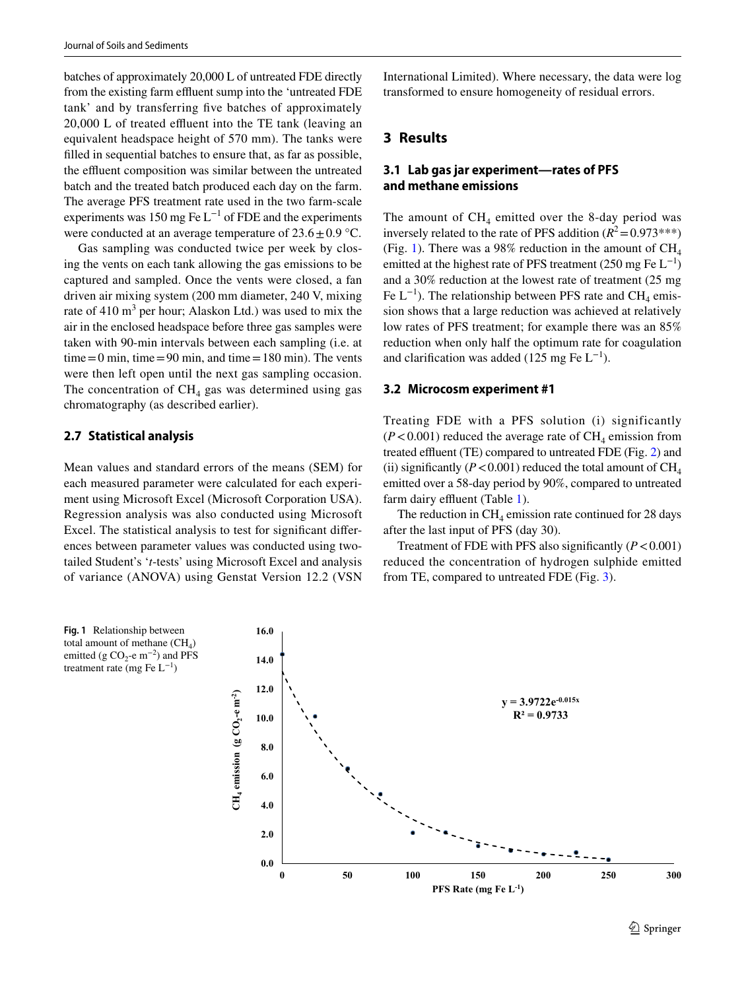batches of approximately 20,000 L of untreated FDE directly from the existing farm effluent sump into the 'untreated FDE tank' and by transferring fve batches of approximately  $20,000$  L of treated effluent into the TE tank (leaving an equivalent headspace height of 570 mm). The tanks were flled in sequential batches to ensure that, as far as possible, the effluent composition was similar between the untreated batch and the treated batch produced each day on the farm. The average PFS treatment rate used in the two farm-scale experiments was 150 mg Fe  $L^{-1}$  of FDE and the experiments were conducted at an average temperature of  $23.6 \pm 0.9$  °C.

Gas sampling was conducted twice per week by closing the vents on each tank allowing the gas emissions to be captured and sampled. Once the vents were closed, a fan driven air mixing system (200 mm diameter, 240 V, mixing rate of  $410 \text{ m}^3$  per hour; Alaskon Ltd.) was used to mix the air in the enclosed headspace before three gas samples were taken with 90-min intervals between each sampling (i.e. at  $time = 0$  min, time = 90 min, and time = 180 min). The vents were then left open until the next gas sampling occasion. The concentration of  $CH<sub>4</sub>$  gas was determined using gas chromatography (as described earlier).

## **2.7 Statistical analysis**

Mean values and standard errors of the means (SEM) for each measured parameter were calculated for each experiment using Microsoft Excel (Microsoft Corporation USA). Regression analysis was also conducted using Microsoft Excel. The statistical analysis to test for signifcant diferences between parameter values was conducted using twotailed Student's '*t*-tests' using Microsoft Excel and analysis of variance (ANOVA) using Genstat Version 12.2 (VSN

<span id="page-4-0"></span>

International Limited). Where necessary, the data were log transformed to ensure homogeneity of residual errors.

### **3 Results**

## **3.1 Lab gas jar experiment—rates of PFS and methane emissions**

The amount of  $CH_4$  emitted over the 8-day period was inversely related to the rate of PFS addition  $(R^2 = 0.973***)$ (Fig. [1\)](#page-4-0). There was a 98% reduction in the amount of  $CH<sub>4</sub>$ emitted at the highest rate of PFS treatment (250 mg Fe  $L^{-1}$ ) and a 30% reduction at the lowest rate of treatment (25 mg Fe  $L^{-1}$ ). The relationship between PFS rate and CH<sub>4</sub> emission shows that a large reduction was achieved at relatively low rates of PFS treatment; for example there was an 85% reduction when only half the optimum rate for coagulation and clarification was added (125 mg Fe  $L^{-1}$ ).

#### **3.2 Microcosm experiment #1**

Treating FDE with a PFS solution (i) significantly  $(P<0.001)$  reduced the average rate of CH<sub>4</sub> emission from treated effluent (TE) compared to untreated FDE (Fig. [2](#page-5-0)) and (ii) significantly ( $P < 0.001$ ) reduced the total amount of  $CH<sub>4</sub>$ emitted over a 58-day period by 90%, compared to untreated farm dairy effluent (Table [1](#page-5-1)).

The reduction in  $CH<sub>4</sub>$  emission rate continued for 28 days after the last input of PFS (day 30).

Treatment of FDE with PFS also significantly  $(P < 0.001)$ reduced the concentration of hydrogen sulphide emitted from TE, compared to untreated FDE (Fig. [3](#page-6-0)).

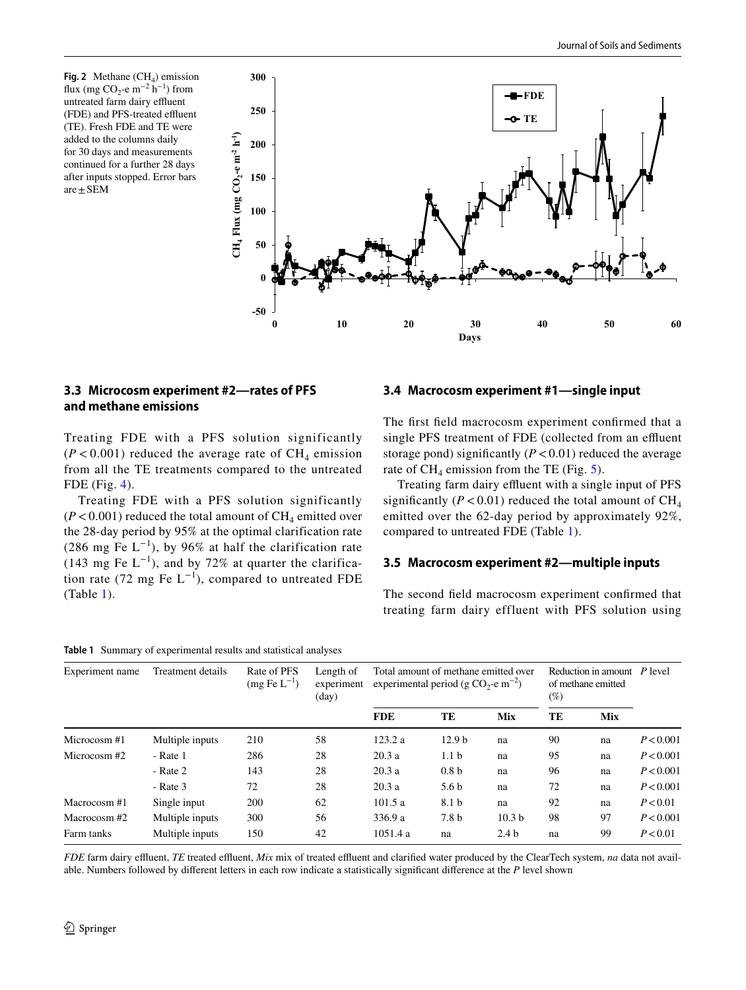<span id="page-5-0"></span>**Fig. 2** Methane  $(CH_4)$  emission flux (mg CO<sub>2</sub>-e m<sup>-2</sup> h<sup>-1</sup>) from untreated farm dairy effluent (FDE) and PFS-treated effluent (TE). Fresh FDE and TE were added to the columns daily for 30 days and measurements continued for a further 28 days after inputs stopped. Error bars are  $\pm$  SEM



# **3.3 Microcosm experiment #2—rates of PFS and methane emissions**

Treating FDE with a PFS solution significantly  $(P < 0.001)$  reduced the average rate of CH<sub>4</sub> emission from all the TE treatments compared to the untreated FDE (Fig. [4](#page-6-1)).

Treating FDE with a PFS solution significantly  $(P<0.001)$  reduced the total amount of  $CH<sub>4</sub>$  emitted over the 28-day period by 95% at the optimal clarification rate (286 mg Fe  $L^{-1}$ ), by 96% at half the clarification rate (143 mg Fe  $L^{-1}$ ), and by 72% at quarter the clarification rate (72 mg Fe  $L^{-1}$ ), compared to untreated FDE (Table [1](#page-5-1)).

# **3.4 Macrocosm experiment #1—single input**

The frst feld macrocosm experiment confrmed that a single PFS treatment of FDE (collected from an effluent storage pond) significantly  $(P < 0.01)$  reduced the average rate of  $CH_4$  emission from the TE (Fig. [5\)](#page-7-0).

Treating farm dairy effluent with a single input of PFS significantly ( $P < 0.01$ ) reduced the total amount of CH<sub>4</sub> emitted over the 62-day period by approximately 92%, compared to untreated FDE (Table [1](#page-5-1)).

### **3.5 Macrocosm experiment #2—multiple inputs**

The second feld macrocosm experiment confrmed that treating farm dairy effluent with PFS solution using

### <span id="page-5-1"></span>**Table 1** Summary of experimental results and statistical analyses

| Experiment name | Treatment details | Rate of PFS<br>$(mg \text{Fe L}^{-1})$ | Length of<br>experiment<br>$\text{(day)}$ | Total amount of methane emitted over<br>experimental period (g CO <sub>2</sub> -e m <sup>-2</sup> ) |                   |                   | Reduction in amount $P$ level<br>of methane emitted<br>$(\%)$ |            |           |
|-----------------|-------------------|----------------------------------------|-------------------------------------------|-----------------------------------------------------------------------------------------------------|-------------------|-------------------|---------------------------------------------------------------|------------|-----------|
|                 |                   |                                        |                                           | <b>FDE</b>                                                                                          | TE                | <b>Mix</b>        | TE                                                            | <b>Mix</b> |           |
| Microcosm#1     | Multiple inputs   | 210                                    | 58                                        | 123.2a                                                                                              | 12.9 <sub>b</sub> | na                | 90                                                            | na         | P < 0.001 |
| Microcosm#2     | - Rate 1          | 286                                    | 28                                        | 20.3a                                                                                               | 1.1 <sub>b</sub>  | na                | 95                                                            | na         | P < 0.001 |
|                 | - Rate 2          | 143                                    | 28                                        | 20.3a                                                                                               | 0.8 <sub>b</sub>  | na                | 96                                                            | na         | P < 0.001 |
|                 | $-$ Rate 3        | 72                                     | 28                                        | 20.3a                                                                                               | 5.6 <sub>b</sub>  | na                | 72                                                            | na         | P < 0.001 |
| Macrocosm#1     | Single input      | <b>200</b>                             | 62                                        | 101.5a                                                                                              | 8.1 b             | na                | 92                                                            | na         | P < 0.01  |
| Macrocosm#2     | Multiple inputs   | 300                                    | 56                                        | 336.9 a                                                                                             | 7.8 b             | 10.3 <sub>b</sub> | 98                                                            | 97         | P < 0.001 |
| Farm tanks      | Multiple inputs   | 150                                    | 42                                        | 1051.4 a                                                                                            | na                | 2.4 <sub>b</sub>  | na                                                            | 99         | P < 0.01  |

*FDE* farm dairy effluent, *TE* treated effluent, *Mix* mix of treated effluent and clarified water produced by the ClearTech system, *na* data not available. Numbers followed by diferent letters in each row indicate a statistically signifcant diference at the *P* level shown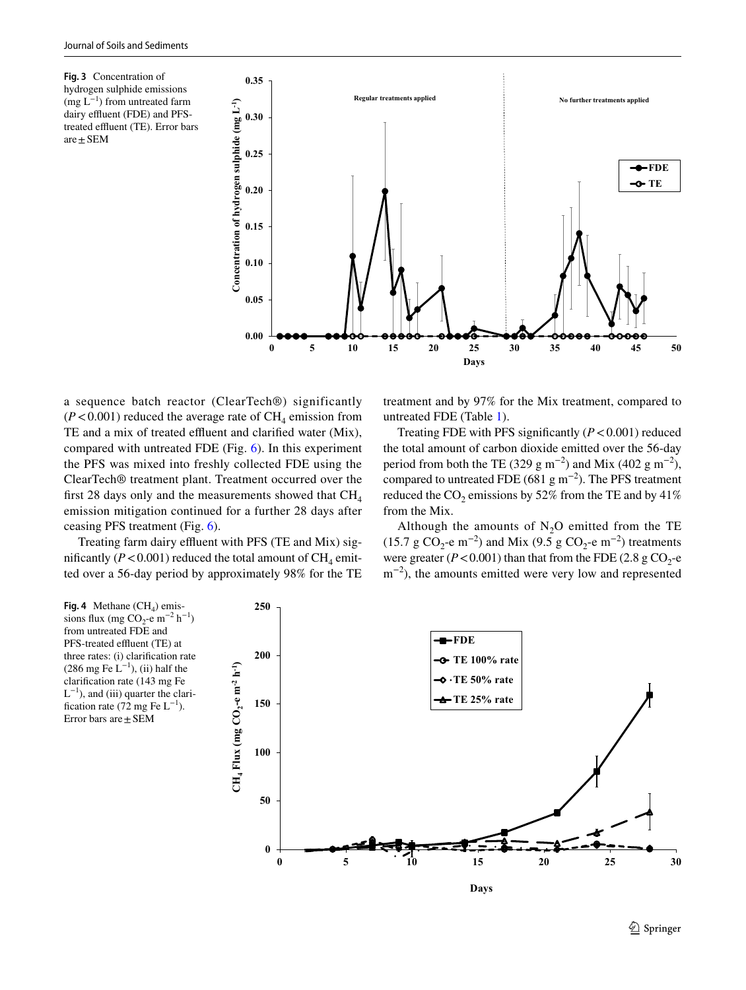<span id="page-6-0"></span>**Fig. 3** Concentration of hydrogen sulphide emissions  $(mg L^{-1})$  from untreated farm dairy effluent (FDE) and PFStreated effluent (TE). Error bars  $are \pm SEM$ 



a sequence batch reactor (ClearTech®) significantly  $(P<0.001)$  reduced the average rate of CH<sub>4</sub> emission from TE and a mix of treated effluent and clarified water (Mix), compared with untreated FDE (Fig. [6](#page-7-1)). In this experiment the PFS was mixed into freshly collected FDE using the ClearTech® treatment plant. Treatment occurred over the first 28 days only and the measurements showed that  $CH<sub>4</sub>$ emission mitigation continued for a further 28 days after ceasing PFS treatment (Fig. [6\)](#page-7-1).

Treating farm dairy effluent with PFS (TE and Mix) significantly ( $P < 0.001$ ) reduced the total amount of CH<sub>4</sub> emitted over a 56-day period by approximately 98% for the TE treatment and by 97% for the Mix treatment, compared to untreated FDE (Table [1](#page-5-1)).

Treating FDE with PFS significantly  $(P < 0.001)$  reduced the total amount of carbon dioxide emitted over the 56-day period from both the TE (329 g m<sup>-2</sup>) and Mix (402 g m<sup>-2</sup>), compared to untreated FDE (681 g m<sup>-2</sup>). The PFS treatment reduced the  $CO_2$  emissions by 52% from the TE and by 41% from the Mix.

Although the amounts of  $N_2O$  emitted from the TE (15.7 g CO<sub>2</sub>-e m<sup>-2</sup>) and Mix (9.5 g CO<sub>2</sub>-e m<sup>-2</sup>) treatments were greater  $(P < 0.001)$  than that from the FDE (2.8 g CO<sub>2</sub>-e m<sup>-2</sup>), the amounts emitted were very low and represented

<span id="page-6-1"></span>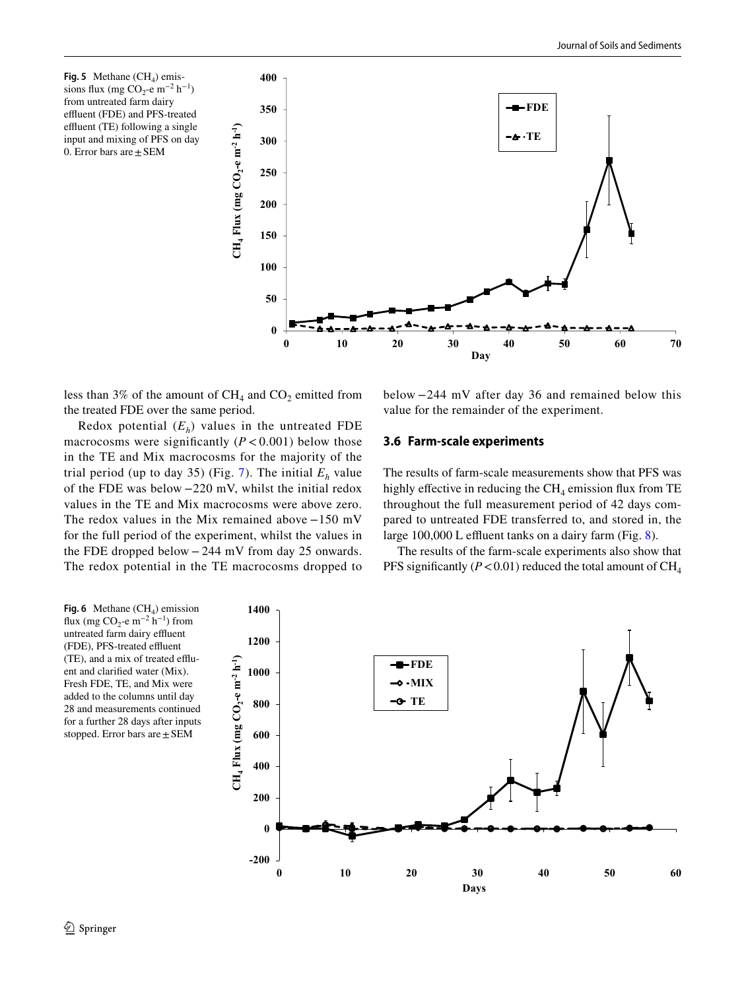<span id="page-7-0"></span>**Fig.** 5 Methane  $(CH_4)$  emissions flux (mg CO<sub>2</sub>-e m<sup>-2</sup> h<sup>-1</sup>) from untreated farm dairy effluent (FDE) and PFS-treated effluent (TE) following a single input and mixing of PFS on day 0. Error bars are  $\pm$  SEM



less than 3% of the amount of  $CH_4$  and  $CO_2$  emitted from the treated FDE over the same period.

Redox potential  $(E_h)$  values in the untreated FDE macrocosms were significantly  $(P < 0.001)$  below those in the TE and Mix macrocosms for the majority of the trial period (up to day 35) (Fig. [7\)](#page-8-0). The initial  $E<sub>h</sub>$  value of the FDE was below −220 mV, whilst the initial redox values in the TE and Mix macrocosms were above zero. The redox values in the Mix remained above −150 mV for the full period of the experiment, whilst the values in the FDE dropped below −244 mV from day 25 onwards. The redox potential in the TE macrocosms dropped to below −244 mV after day 36 and remained below this value for the remainder of the experiment.

### **3.6 Farm‑scale experiments**

The results of farm-scale measurements show that PFS was highly effective in reducing the  $CH<sub>4</sub>$  emission flux from TE throughout the full measurement period of 42 days compared to untreated FDE transferred to, and stored in, the large 100,000 L effluent tanks on a dairy farm (Fig.  $8$ ).

The results of the farm-scale experiments also show that PFS significantly  $(P < 0.01)$  reduced the total amount of  $CH<sub>4</sub>$ 

<span id="page-7-1"></span>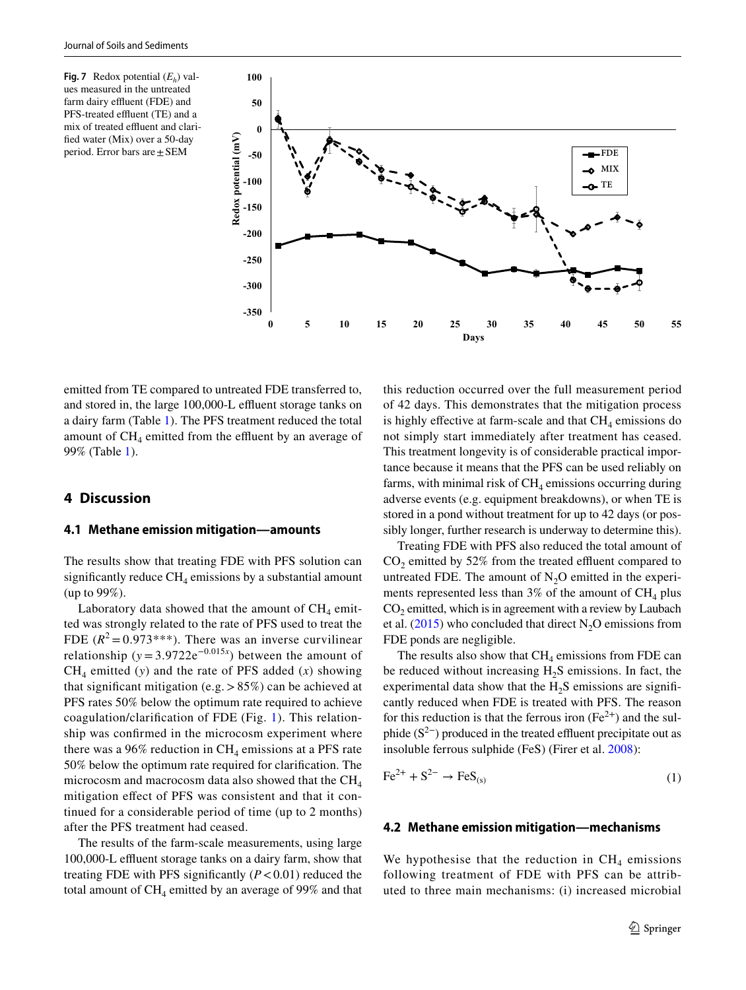<span id="page-8-0"></span>**Fig. 7** Redox potential  $(E_h)$  values measured in the untreated farm dairy effluent (FDE) and PFS-treated effluent (TE) and a mix of treated effluent and clarifed water (Mix) over a 50-day period. Error bars are±SEM



emitted from TE compared to untreated FDE transferred to, and stored in, the large 100,000-L effluent storage tanks on a dairy farm (Table [1\)](#page-5-1). The PFS treatment reduced the total amount of  $CH<sub>4</sub>$  emitted from the effluent by an average of 99% (Table [1\)](#page-5-1).

### **4 Discussion**

#### **4.1 Methane emission mitigation—amounts**

The results show that treating FDE with PFS solution can significantly reduce  $CH<sub>4</sub>$  emissions by a substantial amount (up to 99%).

Laboratory data showed that the amount of  $CH<sub>4</sub>$  emitted was strongly related to the rate of PFS used to treat the FDE  $(R^2 = 0.973***)$ . There was an inverse curvilinear relationship ( $y = 3.9722e^{-0.015x}$ ) between the amount of  $CH<sub>4</sub>$  emitted (*y*) and the rate of PFS added (*x*) showing that significant mitigation (e.g.  $> 85\%$ ) can be achieved at PFS rates 50% below the optimum rate required to achieve coagulation/clarifcation of FDE (Fig. [1\)](#page-4-0). This relationship was confrmed in the microcosm experiment where there was a 96% reduction in  $CH_4$  emissions at a PFS rate 50% below the optimum rate required for clarifcation. The microcosm and macrocosm data also showed that the  $CH<sub>4</sub>$ mitigation efect of PFS was consistent and that it continued for a considerable period of time (up to 2 months) after the PFS treatment had ceased.

The results of the farm-scale measurements, using large 100,000-L effluent storage tanks on a dairy farm, show that treating FDE with PFS significantly  $(P < 0.01)$  reduced the total amount of  $CH_4$  emitted by an average of 99% and that this reduction occurred over the full measurement period of 42 days. This demonstrates that the mitigation process is highly effective at farm-scale and that  $CH<sub>4</sub>$  emissions do not simply start immediately after treatment has ceased. This treatment longevity is of considerable practical importance because it means that the PFS can be used reliably on farms, with minimal risk of  $CH<sub>4</sub>$  emissions occurring during adverse events (e.g. equipment breakdowns), or when TE is stored in a pond without treatment for up to 42 days (or possibly longer, further research is underway to determine this).

Treating FDE with PFS also reduced the total amount of  $CO<sub>2</sub>$  emitted by 52% from the treated effluent compared to untreated FDE. The amount of  $N_2O$  emitted in the experiments represented less than 3% of the amount of  $CH_4$  plus  $CO<sub>2</sub>$  emitted, which is in agreement with a review by Laubach et al.  $(2015)$  $(2015)$  $(2015)$  who concluded that direct N<sub>2</sub>O emissions from FDE ponds are negligible.

The results also show that  $CH_4$  emissions from FDE can be reduced without increasing  $H_2S$  emissions. In fact, the experimental data show that the  $H_2S$  emissions are significantly reduced when FDE is treated with PFS. The reason for this reduction is that the ferrous iron  $(Fe^{2+})$  and the sulphide  $(S^{2-})$  produced in the treated effluent precipitate out as insoluble ferrous sulphide (FeS) (Firer et al. [2008\)](#page-11-10):

$$
\text{Fe}^{2+} + \text{S}^{2-} \rightarrow \text{FeS}_{(s)}\tag{1}
$$

#### **4.2 Methane emission mitigation—mechanisms**

We hypothesise that the reduction in  $CH<sub>4</sub>$  emissions following treatment of FDE with PFS can be attributed to three main mechanisms: (i) increased microbial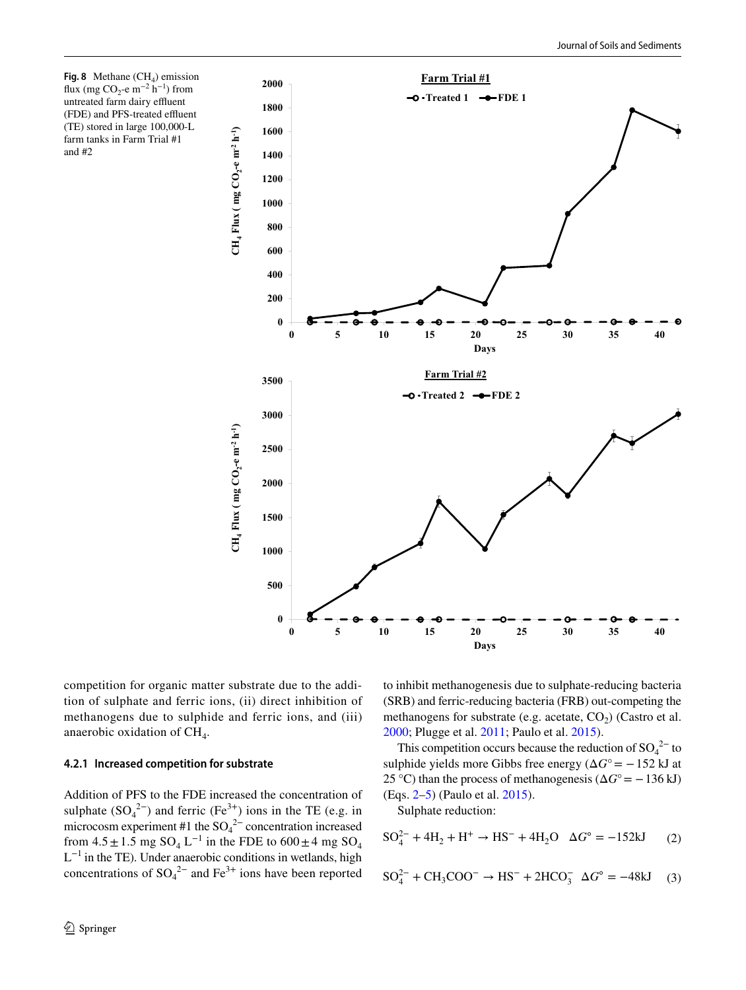**0 200 400 600 800 1000 1200 1400 1600 1800 2000 0 5 10 15 20 25 30 35 40 CH4 Flux ( mg CO2-e**   $CH_4$  **Flux** (mg  $CO_2$ -e m<sup>-2</sup> h<sup>-1</sup>) **Days Farm Trial #1**  $\rightarrow$  **Treated 1**  $\rightarrow$  **FDE 1 0 500 1000 1500 2000 2500 3000 3500 0 5 10 15 20 25 30 35 40 CH4 Flux ( mg CO2-e**   $CH_4$  **Flux** (mg  $CO_2$ -e m<sup>-2</sup> h<sup>-1</sup>) **Days Farm Trial #2**  $O$  **Treated 2**  $\rightarrow$  FDE 2

<span id="page-9-0"></span>**Fig. 8** Methane  $(CH<sub>4</sub>)$  emission flux (mg CO<sub>2</sub>-e m<sup>-2</sup> h<sup>-1</sup>) from untreated farm dairy effluent (FDE) and PFS-treated effluent (TE) stored in large 100,000-L farm tanks in Farm Trial #1 and #2

competition for organic matter substrate due to the addition of sulphate and ferric ions, (ii) direct inhibition of methanogens due to sulphide and ferric ions, and (iii) anaerobic oxidation of CH<sub>4</sub>.

### **4.2.1 Increased competition for substrate**

Addition of PFS to the FDE increased the concentration of sulphate  $(SO_4^{2-})$  and ferric (Fe<sup>3+</sup>) ions in the TE (e.g. in microcosm experiment #1 the  $SO_4^2$ <sup>-</sup> concentration increased from  $4.5 \pm 1.5$  mg SO<sub>4</sub> L<sup>-1</sup> in the FDE to  $600 \pm 4$  mg SO<sub>4</sub>  $L^{-1}$  in the TE). Under anaerobic conditions in wetlands, high concentrations of  $SO_4^2$ <sup>-</sup> and  $Fe^{3+}$  ions have been reported to inhibit methanogenesis due to sulphate-reducing bacteria (SRB) and ferric-reducing bacteria (FRB) out-competing the methanogens for substrate (e.g. acetate,  $CO<sub>2</sub>$ ) (Castro et al. [2000](#page-11-11); Plugge et al. [2011;](#page-12-12) Paulo et al. [2015](#page-12-6)).

This competition occurs because the reduction of  $SO_4^2$ <sup>-</sup> to sulphide yields more Gibbs free energy (Δ*G*°= −152 kJ at 25 °C) than the process of methanogenesis ( $\Delta G^{\circ}$  = -136 kJ) (Eqs. [2–](#page-9-1)[5\)](#page-9-2) (Paulo et al. [2015](#page-12-6)).

<span id="page-9-2"></span><span id="page-9-1"></span>Sulphate reduction:

$$
SO_4^{2-} + 4H_2 + H^+ \rightarrow HS^- + 4H_2O \quad \Delta G^\circ = -152 \text{kJ}
$$
 (2)

$$
SO_4^{2-} + CH_3COO^- \rightarrow HS^- + 2HCO_3^- \quad \Delta G^\circ = -48kJ \tag{3}
$$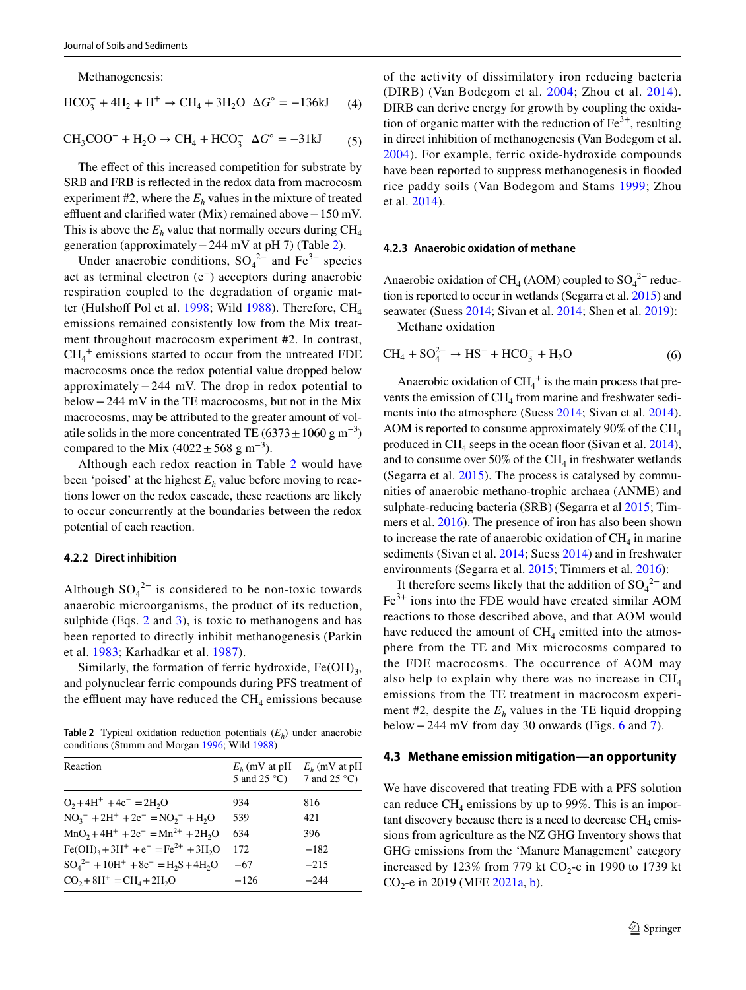Methanogenesis:

$$
HCO_3^- + 4H_2 + H^+ \to CH_4 + 3H_2O \quad \Delta G^\circ = -136 \text{kJ} \tag{4}
$$

$$
CH_3COO^- + H_2O \rightarrow CH_4 + HCO_3^- \quad \Delta G^\circ = -31kJ \tag{5}
$$

The effect of this increased competition for substrate by SRB and FRB is refected in the redox data from macrocosm experiment  $#2$ , where the  $E<sub>h</sub>$  values in the mixture of treated effluent and clarified water (Mix) remained above – 150 mV. This is above the  $E_h$  value that normally occurs during  $CH_4$ generation (approximately−244 mV at pH 7) (Table [2\)](#page-10-0).

Under anaerobic conditions,  $SO_4^2$ <sup>-</sup> and Fe<sup>3+</sup> species act as terminal electron (e−) acceptors during anaerobic respiration coupled to the degradation of organic mat-ter (Hulshoff Pol et al. [1998](#page-11-12); Wild [1988\)](#page-12-13). Therefore,  $CH<sub>4</sub>$ emissions remained consistently low from the Mix treatment throughout macrocosm experiment #2. In contrast,  $CH<sub>4</sub><sup>+</sup>$  emissions started to occur from the untreated FDE macrocosms once the redox potential value dropped below approximately−244 mV. The drop in redox potential to below−244 mV in the TE macrocosms, but not in the Mix macrocosms, may be attributed to the greater amount of volatile solids in the more concentrated TE (6373 $\pm$ 1060 g m<sup>-3</sup>) compared to the Mix (4022  $\pm$  568 g m<sup>-3</sup>).

Although each redox reaction in Table [2](#page-10-0) would have been 'poised' at the highest  $E<sub>h</sub>$  value before moving to reactions lower on the redox cascade, these reactions are likely to occur concurrently at the boundaries between the redox potential of each reaction.

### **4.2.2 Direct inhibition**

Although  $SO_4^2$ <sup>-</sup> is considered to be non-toxic towards anaerobic microorganisms, the product of its reduction, sulphide (Eqs. [2](#page-9-1) and [3\)](#page-9-2), is toxic to methanogens and has been reported to directly inhibit methanogenesis (Parkin et al. [1983;](#page-12-14) Karhadkar et al. [1987](#page-11-13)).

Similarly, the formation of ferric hydroxide,  $Fe(OH)_{3}$ , and polynuclear ferric compounds during PFS treatment of the effluent may have reduced the  $CH<sub>4</sub>$  emissions because

<span id="page-10-0"></span>**Table 2** Typical oxidation reduction potentials  $(E_h)$  under anaerobic conditions (Stumm and Morgan [1996](#page-12-23); Wild [1988\)](#page-12-13)

| Reaction                                                                                | 5 and $25^{\circ}$ C) | $E_h$ (mV at pH $E_h$ (mV at pH<br>7 and 25 $^{\circ}$ C) |
|-----------------------------------------------------------------------------------------|-----------------------|-----------------------------------------------------------|
| $O_2 + 4H^+ + 4e^- = 2H_2O$                                                             | 934                   | 816                                                       |
| $NO_3^- + 2H^+ + 2e^- = NO_2^- + H_2O$                                                  | 539                   | 421                                                       |
| $MnO_2 + 4H^+ + 2e^- = Mn^{2+} + 2H_2O$                                                 | 634                   | 396                                                       |
| $Fe(OH)3+3H++e-=Fe2++3H2O$                                                              | 172                   | $-182$                                                    |
| $SO_4^{2-}$ + 10H <sup>+</sup> + 8e <sup>-</sup> = H <sub>2</sub> S + 4H <sub>2</sub> O | $-67$                 | $-215$                                                    |
| $CO_2 + 8H^+ = CH_4 + 2H_2O$                                                            | $-126$                | $-244$                                                    |

of the activity of dissimilatory iron reducing bacteria (DIRB) (Van Bodegom et al. [2004](#page-12-15); Zhou et al. [2014](#page-12-16)). DIRB can derive energy for growth by coupling the oxidation of organic matter with the reduction of  $Fe<sup>3+</sup>$ , resulting in direct inhibition of methanogenesis (Van Bodegom et al. [2004](#page-12-15)). For example, ferric oxide-hydroxide compounds have been reported to suppress methanogenesis in fooded rice paddy soils (Van Bodegom and Stams [1999;](#page-12-17) Zhou et al. [2014\)](#page-12-16).

#### **4.2.3 Anaerobic oxidation of methane**

Anaerobic oxidation of CH<sub>4</sub> (AOM) coupled to  $SO_4^2$ <sup>-</sup> reduction is reported to occur in wetlands (Segarra et al. [2015](#page-12-18)) and seawater (Suess [2014](#page-12-19); Sivan et al. [2014](#page-12-20); Shen et al. [2019](#page-12-21)): Methane oxidation

$$
CH_4 + SO_4^{2-} \to HS^- + HCO_3^- + H_2O
$$
 (6)

Anaerobic oxidation of  $\text{CH}_4^+$  is the main process that prevents the emission of  $\text{CH}_4$  from marine and freshwater sedi-ments into the atmosphere (Suess [2014;](#page-12-19) Sivan et al. [2014](#page-12-20)). AOM is reported to consume approximately 90% of the  $CH<sub>4</sub>$ produced in  $CH<sub>4</sub>$  seeps in the ocean floor (Sivan et al. [2014](#page-12-20)), and to consume over 50% of the  $CH_4$  in freshwater wetlands (Segarra et al. [2015\)](#page-12-18). The process is catalysed by communities of anaerobic methano-trophic archaea (ANME) and sulphate-reducing bacteria (SRB) (Segarra et al [2015](#page-12-18); Timmers et al. [2016\)](#page-12-22). The presence of iron has also been shown to increase the rate of anaerobic oxidation of  $CH<sub>4</sub>$  in marine sediments (Sivan et al. [2014](#page-12-19); Suess 2014) and in freshwater environments (Segarra et al. [2015](#page-12-18); Timmers et al. [2016](#page-12-22)):

It therefore seems likely that the addition of  $SO_4^2$ <sup>-</sup> and Fe3+ ions into the FDE would have created similar AOM reactions to those described above, and that AOM would have reduced the amount of  $CH<sub>4</sub>$  emitted into the atmosphere from the TE and Mix microcosms compared to the FDE macrocosms. The occurrence of AOM may also help to explain why there was no increase in  $CH<sub>4</sub>$ emissions from the TE treatment in macrocosm experiment #2, despite the  $E_h$  values in the TE liquid dropping below −244 mV from day 30 onwards (Figs. [6](#page-7-1) and [7\)](#page-8-0).

#### **4.3 Methane emission mitigation—an opportunity**

We have discovered that treating FDE with a PFS solution can reduce  $CH_4$  emissions by up to 99%. This is an important discovery because there is a need to decrease  $CH<sub>4</sub>$  emissions from agriculture as the NZ GHG Inventory shows that GHG emissions from the 'Manure Management' category increased by 123% from 779 kt  $CO_2$ -e in 1990 to 1739 kt CO<sub>2</sub>-e in 2019 (MFE [2021a](#page-11-0), [b](#page-11-14)).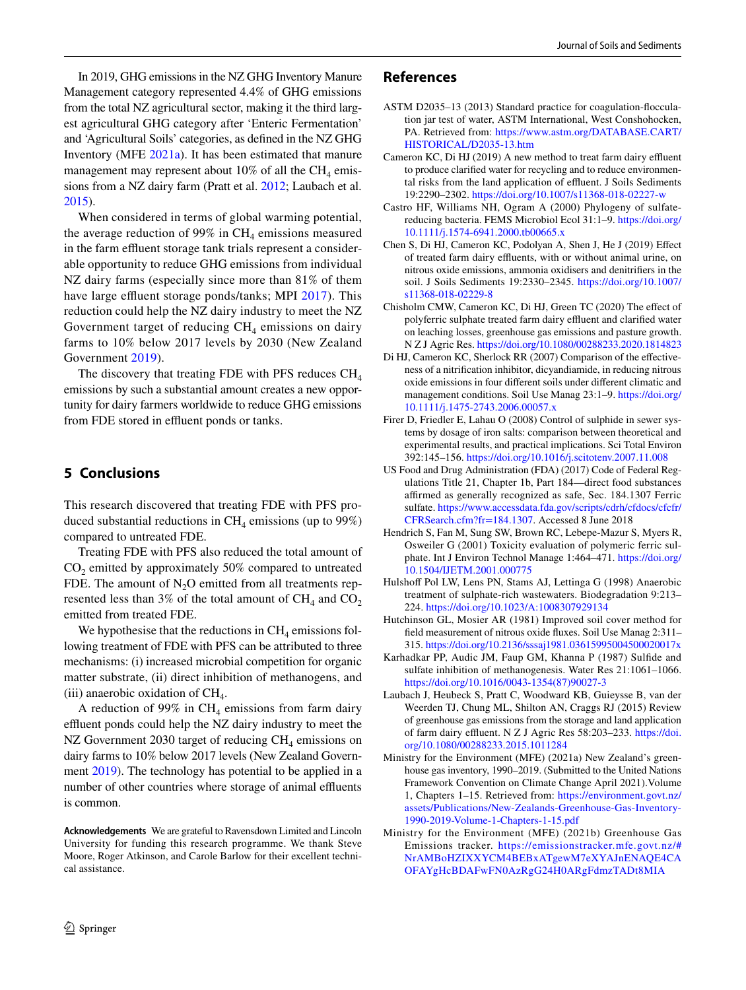In 2019, GHG emissions in the NZ GHG Inventory Manure Management category represented 4.4% of GHG emissions from the total NZ agricultural sector, making it the third largest agricultural GHG category after 'Enteric Fermentation' and 'Agricultural Soils' categories, as defned in the NZ GHG Inventory (MFE [2021a\)](#page-11-0). It has been estimated that manure management may represent about 10% of all the  $CH<sub>4</sub>$  emissions from a NZ dairy farm (Pratt et al. [2012](#page-12-1); Laubach et al. [2015\)](#page-11-1).

When considered in terms of global warming potential, the average reduction of 99% in  $CH<sub>4</sub>$  emissions measured in the farm effluent storage tank trials represent a considerable opportunity to reduce GHG emissions from individual NZ dairy farms (especially since more than 81% of them have large effluent storage ponds/tanks; MPI [2017\)](#page-12-2). This reduction could help the NZ dairy industry to meet the NZ Government target of reducing  $CH<sub>4</sub>$  emissions on dairy farms to 10% below 2017 levels by 2030 (New Zealand Government [2019](#page-12-0)).

The discovery that treating FDE with PFS reduces  $CH<sub>4</sub>$ emissions by such a substantial amount creates a new opportunity for dairy farmers worldwide to reduce GHG emissions from FDE stored in effluent ponds or tanks.

# **5 Conclusions**

This research discovered that treating FDE with PFS produced substantial reductions in  $CH<sub>4</sub>$  emissions (up to 99%) compared to untreated FDE.

Treating FDE with PFS also reduced the total amount of  $CO<sub>2</sub>$  emitted by approximately 50% compared to untreated FDE. The amount of  $N_2O$  emitted from all treatments represented less than 3% of the total amount of  $\text{CH}_4$  and  $\text{CO}_2$ emitted from treated FDE.

We hypothesise that the reductions in  $CH<sub>4</sub>$  emissions following treatment of FDE with PFS can be attributed to three mechanisms: (i) increased microbial competition for organic matter substrate, (ii) direct inhibition of methanogens, and (iii) anaerobic oxidation of  $CH<sub>4</sub>$ .

A reduction of 99% in  $CH_4$  emissions from farm dairy effluent ponds could help the NZ dairy industry to meet the NZ Government 2030 target of reducing  $CH<sub>4</sub>$  emissions on dairy farms to 10% below 2017 levels (New Zealand Government [2019](#page-12-0)). The technology has potential to be applied in a number of other countries where storage of animal effluents is common.

**Acknowledgements** We are grateful to Ravensdown Limited and Lincoln University for funding this research programme. We thank Steve Moore, Roger Atkinson, and Carole Barlow for their excellent technical assistance.

# $\circled{2}$  Springer

### **References**

- <span id="page-11-9"></span>ASTM D2035–13 (2013) Standard practice for coagulation-focculation jar test of water, ASTM International, West Conshohocken, PA. Retrieved from: [https://www.astm.org/DATABASE.CART/](https://www.astm.org/DATABASE.CART/HISTORICAL/D2035-13.htm) [HISTORICAL/D2035-13.htm](https://www.astm.org/DATABASE.CART/HISTORICAL/D2035-13.htm)
- <span id="page-11-2"></span>Cameron KC, Di HJ (2019) A new method to treat farm dairy effluent to produce clarifed water for recycling and to reduce environmental risks from the land application of effluent. J Soils Sediments 19:2290–2302.<https://doi.org/10.1007/s11368-018-02227-w>
- <span id="page-11-11"></span>Castro HF, Williams NH, Ogram A (2000) Phylogeny of sulfatereducing bacteria. FEMS Microbiol Ecol 31:1–9. [https://doi.org/](https://doi.org/10.1111/j.1574-6941.2000.tb00665.x) [10.1111/j.1574-6941.2000.tb00665.x](https://doi.org/10.1111/j.1574-6941.2000.tb00665.x)
- <span id="page-11-5"></span>Chen S, Di HJ, Cameron KC, Podolyan A, Shen J, He J (2019) Efect of treated farm dairy effluents, with or without animal urine, on nitrous oxide emissions, ammonia oxidisers and denitrifers in the soil. J Soils Sediments 19:2330–2345. [https://doi.org/10.1007/](https://doi.org/10.1007/s11368-018-02229-8) [s11368-018-02229-8](https://doi.org/10.1007/s11368-018-02229-8)
- <span id="page-11-6"></span>Chisholm CMW, Cameron KC, Di HJ, Green TC (2020) The efect of polyferric sulphate treated farm dairy effluent and clarified water on leaching losses, greenhouse gas emissions and pasture growth. N Z J Agric Res.<https://doi.org/10.1080/00288233.2020.1814823>
- <span id="page-11-7"></span>Di HJ, Cameron KC, Sherlock RR (2007) Comparison of the efectiveness of a nitrifcation inhibitor, dicyandiamide, in reducing nitrous oxide emissions in four diferent soils under diferent climatic and management conditions. Soil Use Manag 23:1–9. [https://doi.org/](https://doi.org/10.1111/j.1475-2743.2006.00057.x) [10.1111/j.1475-2743.2006.00057.x](https://doi.org/10.1111/j.1475-2743.2006.00057.x)
- <span id="page-11-10"></span>Firer D, Friedler E, Lahau O (2008) Control of sulphide in sewer systems by dosage of iron salts: comparison between theoretical and experimental results, and practical implications. Sci Total Environ 392:145–156. <https://doi.org/10.1016/j.scitotenv.2007.11.008>
- <span id="page-11-4"></span>US Food and Drug Administration (FDA) (2017) Code of Federal Regulations Title 21, Chapter 1b, Part 184—direct food substances affirmed as generally recognized as safe, Sec. 184.1307 Ferric sulfate. [https://www.accessdata.fda.gov/scripts/cdrh/cfdocs/cfcfr/](https://www.accessdata.fda.gov/scripts/cdrh/cfdocs/cfcfr/CFRSearch.cfm?fr=184.1307) [CFRSearch.cfm?fr=184.1307.](https://www.accessdata.fda.gov/scripts/cdrh/cfdocs/cfcfr/CFRSearch.cfm?fr=184.1307) Accessed 8 June 2018
- <span id="page-11-3"></span>Hendrich S, Fan M, Sung SW, Brown RC, Lebepe-Mazur S, Myers R, Osweiler G (2001) Toxicity evaluation of polymeric ferric sulphate. Int J Environ Technol Manage 1:464–471. [https://doi.org/](https://doi.org/10.1504/IJETM.2001.000775) [10.1504/IJETM.2001.000775](https://doi.org/10.1504/IJETM.2001.000775)
- <span id="page-11-12"></span>Hulshoff Pol LW, Lens PN, Stams AJ, Lettinga G (1998) Anaerobic treatment of sulphate-rich wastewaters. Biodegradation 9:213– 224.<https://doi.org/10.1023/A:1008307929134>
- <span id="page-11-8"></span>Hutchinson GL, Mosier AR (1981) Improved soil cover method for feld measurement of nitrous oxide fuxes. Soil Use Manag 2:311– 315.<https://doi.org/10.2136/sssaj1981.03615995004500020017x>
- <span id="page-11-13"></span>Karhadkar PP, Audic JM, Faup GM, Khanna P (1987) Sulfde and sulfate inhibition of methanogenesis. Water Res 21:1061–1066. [https://doi.org/10.1016/0043-1354\(87\)90027-3](https://doi.org/10.1016/0043-1354(87)90027-3)
- <span id="page-11-1"></span>Laubach J, Heubeck S, Pratt C, Woodward KB, Guieysse B, van der Weerden TJ, Chung ML, Shilton AN, Craggs RJ (2015) Review of greenhouse gas emissions from the storage and land application of farm dairy effluent. N Z J Agric Res 58:203-233. [https://doi.](https://doi.org/10.1080/00288233.2015.1011284) [org/10.1080/00288233.2015.1011284](https://doi.org/10.1080/00288233.2015.1011284)
- <span id="page-11-0"></span>Ministry for the Environment (MFE) (2021a) New Zealand's greenhouse gas inventory, 1990–2019. (Submitted to the United Nations Framework Convention on Climate Change April 2021).Volume 1, Chapters 1–15. Retrieved from: [https://environment.govt.nz/](https://environment.govt.nz/assets/Publications/New-Zealands-Greenhouse-Gas-Inventory-1990-2019-Volume-1-Chapters-1-15.pdf) [assets/Publications/New-Zealands-Greenhouse-Gas-Inventory-](https://environment.govt.nz/assets/Publications/New-Zealands-Greenhouse-Gas-Inventory-1990-2019-Volume-1-Chapters-1-15.pdf)[1990-2019-Volume-1-Chapters-1-15.pdf](https://environment.govt.nz/assets/Publications/New-Zealands-Greenhouse-Gas-Inventory-1990-2019-Volume-1-Chapters-1-15.pdf)
- <span id="page-11-14"></span>Ministry for the Environment (MFE) (2021b) Greenhouse Gas Emissions tracker. [https://emissionstracker.mfe.govt.nz/#](https://emissionstracker.mfe.govt.nz/#NrAMBoHZIXXYCM4BEBxATgewM7eXYAJnENAQE4CAOFAYgHcBDAFwFN0AzRgG24H0ARgFdmzTADt8MIA) [NrAMBoHZIXXYCM4BEBxATgewM7eXYAJnENAQE4CA](https://emissionstracker.mfe.govt.nz/#NrAMBoHZIXXYCM4BEBxATgewM7eXYAJnENAQE4CAOFAYgHcBDAFwFN0AzRgG24H0ARgFdmzTADt8MIA) [OFAYgHcBDAFwFN0AzRgG24H0ARgFdmzTADt8MIA](https://emissionstracker.mfe.govt.nz/#NrAMBoHZIXXYCM4BEBxATgewM7eXYAJnENAQE4CAOFAYgHcBDAFwFN0AzRgG24H0ARgFdmzTADt8MIA)